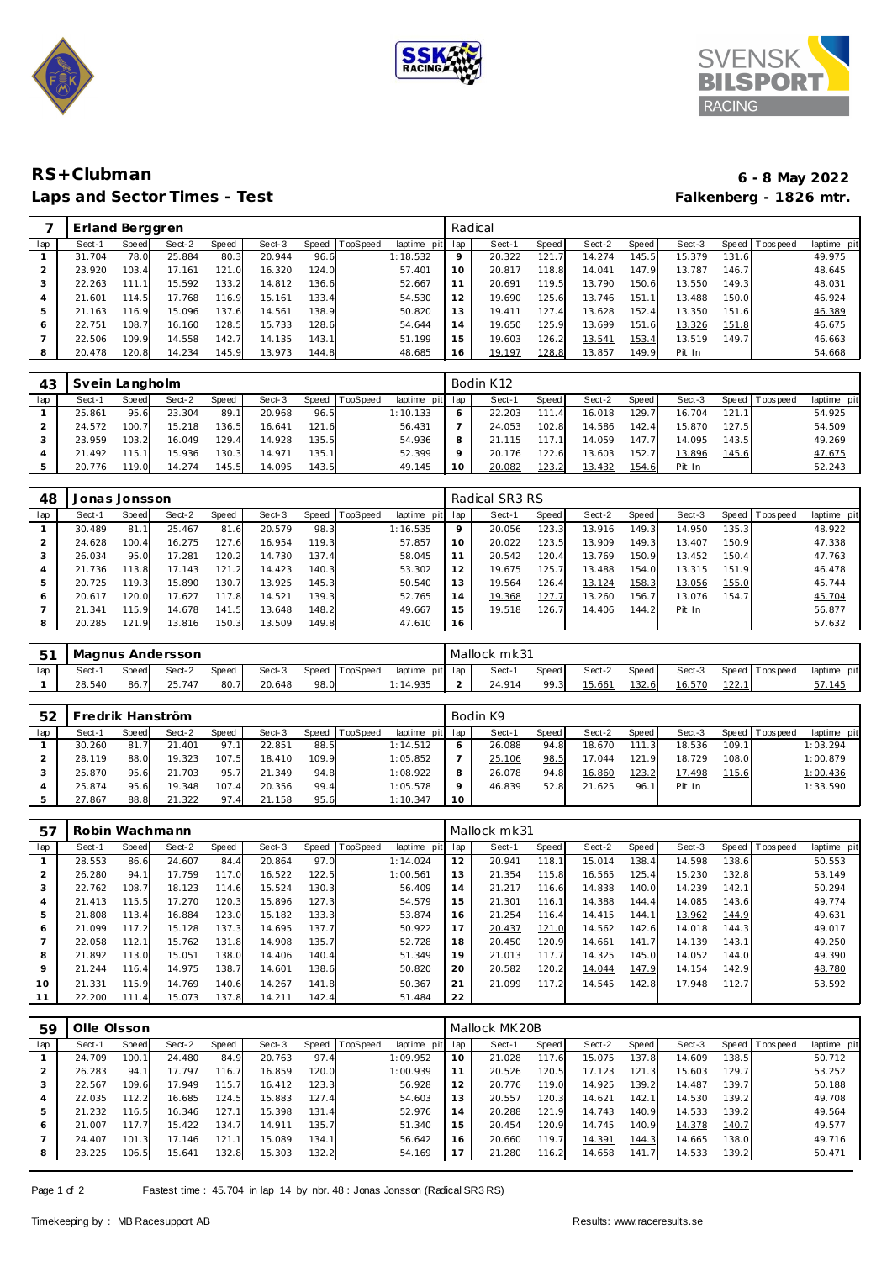





## **RS+Clubman 6 - 8 May 2022** Laps and Sector Times - Test

|     | Erland Berggren |              |        |       |        |       |                |                 | Radical |        |       |        |         |        |       |          |             |  |
|-----|-----------------|--------------|--------|-------|--------|-------|----------------|-----------------|---------|--------|-------|--------|---------|--------|-------|----------|-------------|--|
| lap | Sect-1          | <b>Speed</b> | Sect-2 | Speed | Sect-3 |       | Speed TopSpeed | laptime<br>pitl | lap     | Sect-1 | Speed | Sect-2 | Speed I | Sect-3 | Speed | Topspeed | laptime pit |  |
|     | 31.704          | 78.0         | 25.884 | 80.3  | 20.944 | 96.6  |                | 1:18.532        | $\circ$ | 20.322 | 121.  | 14.274 | 145.5   | 15.379 | 131.6 |          | 49.975      |  |
|     | 23.920          | 103.4        | 17.161 | 121.0 | 16.320 | 124.0 |                | 57.401          | 10      | 20.817 | 118.8 | 14.041 | 147.9   | 13.787 | 146.7 |          | 48.645      |  |
| 3   | 22.263          |              | 15.592 | 133.2 | 14.812 | 136.6 |                | 52.667          | 11      | 20.691 | 119.5 | 13.790 | 150.6   | 13.550 | 149.3 |          | 48.031      |  |
| 4   | 21.601          | 114.5        | 17.768 | 116.9 | 15.161 | 133.4 |                | 54.530          | 12      | 19.690 | 125.6 | 13.746 | 151.    | 13.488 | 150.0 |          | 46.924      |  |
| 5   | 21.163          | 116.9        | 15.096 | 137.6 | 14.561 | 138.9 |                | 50.820          | 13      | 19.411 | 127.4 | 13.628 | 152.4   | 13.350 | 151.6 |          | 46.389      |  |
| 6   | 22.751          | 108.7        | 16.160 | 128.5 | 15.733 | 128.6 |                | 54.644          | 14      | 19.650 | 125.9 | 13.699 | 151.6   | 13.326 | 151.8 |          | 46.675      |  |
|     | 22.506          | 109.9        | 14.558 | 142.7 | 14.135 | 143.1 |                | 51.199          | 15      | 19.603 | 126.2 | 13.541 | 153.4   | 13.519 | 149.7 |          | 46.663      |  |
| 8   | 20.478          | 120.8        | 14.234 | 145.9 | 13.973 | 144.8 |                | 48.685          | 16      | 19.197 | 128.8 | 13.857 | 149.9   | Pit In |       |          | 54.668      |  |

| 43  | Svein Langholm |       |        |       |        |       |          | Bodin K12   |     |        |              |        |       |        |       |                 |             |
|-----|----------------|-------|--------|-------|--------|-------|----------|-------------|-----|--------|--------------|--------|-------|--------|-------|-----------------|-------------|
| lap | Sect-1         | Speed | Sect-2 | Speed | Sect-3 | Speed | TopSpeed | laptime pit | lap | Sect-1 | <b>Speed</b> | Sect-2 | Speed | Sect-3 |       | Speed Tops peed | laptime pit |
|     | 25.861         | 95.6  | 23.304 | 89.1  | 20.968 | 96.5  |          | 1:10.133    | 6   | 22.203 | 111<br>' 41  | 16.018 | 129.7 | 16.704 | 121.1 |                 | 54.925      |
|     | 24.572         | 100.7 | 15.218 | 136.5 | 16.641 | 121.6 |          | 56.431      |     | 24.053 | 102.8        | 14.586 | 142.4 | 15.870 | 127.5 |                 | 54.509      |
|     | 23.959         | 103.2 | 16.049 | 129.4 | 14.928 | 135.5 |          | 54.936      | 8   | 21.115 | 117.1        | 14.059 | 147.7 | 14.095 | 143.5 |                 | 49.269      |
|     | 21.492         | 115.1 | 15.936 | 130.3 | 14.971 | 135.1 |          | 52.399      | Q   | 20.176 | 122.6        | 13.603 | 152.7 | 13.896 | 145.6 |                 | 47.675      |
|     | 20.776         | 119.0 | 14.274 | 145.5 | 14.095 | 143.5 |          | 49.145      | 10  | 20.082 | 123.2        | 13.432 | 154.6 | Pit In |       |                 | 52.243      |

| 48  | Jonas Jonsson |       |        |       |        |       |          |             | Radical SR3 RS |        |       |        |       |        |         |           |             |
|-----|---------------|-------|--------|-------|--------|-------|----------|-------------|----------------|--------|-------|--------|-------|--------|---------|-----------|-------------|
| lap | Sect-1        | Speed | Sect-2 | Speed | Sect-3 | Speed | TopSpeed | laptime pit | lap            | Sect-1 | Speed | Sect-2 | Speed | Sect-3 | Speed I | Tops peed | laptime pit |
|     | 30.489        | 81.   | 25.467 | 81.6  | 20.579 | 98.3  |          | 1:16.535    | $\circ$        | 20.056 | 123.3 | 13.916 | 149.3 | 14.950 | 135.3   |           | 48.922      |
|     | 24.628        | 100.4 | 16.275 | 127.6 | 16.954 | 119.3 |          | 57.857      | 10             | 20.022 | 123.5 | 13.909 | 149.3 | 13.407 | 150.9   |           | 47.338      |
|     | 26.034        | 95.0  | 17.281 | 120.2 | 14.730 | 137.4 |          | 58.045      |                | 20.542 | 120.4 | 13.769 | 150.9 | 13.452 | 150.4   |           | 47.763      |
| 4   | .736          | 113.8 | 17.143 | 121.2 | 14.423 | 140.3 |          | 53.302      |                | 19.675 | 125.7 | 13.488 | 154.0 | 13.315 | 151.9   |           | 46.478      |
| 5   | 20.725        | 119.3 | 15.890 | 130.7 | 13.925 | 145.3 |          | 50.540      |                | 19.564 | 126.4 | 13.124 | 158.3 | 13.056 | 155.0   |           | 45.744      |
| 6   | 20.617        | 120.0 | 17.627 | 117.8 | 14.521 | 139.3 |          | 52.765      | 14             | 19.368 | 127.7 | 13.260 | 156.7 | 13.076 | 154.7   |           | 45.704      |
|     | 21.341        | 115.9 | 14.678 | 141.5 | 13.648 | 148.2 |          | 49.667      | 15             | 19.518 | 126.7 | 14.406 | 144.2 | Pit In |         |           | 56.877      |
|     | 20.285        | 121.9 | 13.816 | 150.3 | 13.509 | 149.8 |          | 47.610      | 16             |        |       |        |       |        |         |           | 57.632      |

| F <sub>1</sub> | Magnus Andersson |       |        |              |        |       |          | Mallock mk31    |        |       |        |       |        |       |                   |             |
|----------------|------------------|-------|--------|--------------|--------|-------|----------|-----------------|--------|-------|--------|-------|--------|-------|-------------------|-------------|
| lap            | Sect-1           | Speed | Sect-2 | <b>Speed</b> | Sect-3 | Speed | TopSpeed | laptime pit lap | Sect-  | Speed | Sect-2 | Speed | Sect-3 |       | Speed   Tops peed | laptime pit |
|                | 28.540           | 86.   | 25.747 | 80.7         | 20.648 | 98.0  |          | 1:14.935        | 24.914 | 99.3  | 15.661 | 132.6 | 16.570 | 122.1 |                   | 57.145      |

| 52  | redrik Hanström |       |        |       |        |       |          | Bodin K9        |         |        |       |        |       |        |       |                 |             |
|-----|-----------------|-------|--------|-------|--------|-------|----------|-----------------|---------|--------|-------|--------|-------|--------|-------|-----------------|-------------|
| lap | Sect-1          | Speed | Sect-2 | Speed | Sect-3 | Speed | TopSpeed | laptime pit lap |         | Sect-1 | Speed | Sect-2 | Speed | Sect-3 |       | Speed Tops peed | laptime pit |
|     | 30.260          | 81.7  | 21.401 | 97.1  | 22.851 | 88.5  |          | 1:14.512        |         | 26.088 | 94.8  | 18.670 | 111.3 | 18.536 | 109.1 |                 | 1:03.294    |
|     | 28.119          | 88.0  | 19.323 | 107.5 | 18.410 | 109.9 |          | 1:05.852        |         | 25.106 | 98.5  | 17.044 | 121.9 | 18.729 | 108.0 |                 | 1:00.879    |
|     | 25.870          | 95.6  | 21.703 | 95.7  | 21.349 | 94.8  |          | 1:08.922        | 8       | 26.078 | 94.8  | 16.860 | 123.2 | 17.498 | 115.6 |                 | 1:00.436    |
|     | 25.874          | 95.6  | 19.348 | 107.4 | 20.356 | 99.4  |          | 1:05.578        | $\circ$ | 46.839 | 52.8  | 21.625 | 96.1  | Pit In |       |                 | 1:33.590    |
|     | 27.867          | 88.8  | 21.322 | 97.4  | 21.158 | 95.6  |          | 1:10.347        | 10      |        |       |        |       |        |       |                 |             |

| $-5^{\circ}$   | Robin Wachmann |       |        |       |        |       |                 |             | Mallock mk31 |        |       |        |       |        |       |                 |             |  |
|----------------|----------------|-------|--------|-------|--------|-------|-----------------|-------------|--------------|--------|-------|--------|-------|--------|-------|-----------------|-------------|--|
| lap            | Sect-1         | Speed | Sect-2 | Speed | Sect-3 | Speed | <b>TopSpeed</b> | laptime pit | lap          | Sect-1 | Speed | Sect-2 | Speed | Sect-3 |       | Speed Tops peed | laptime pit |  |
|                | 28.553         | 86.6  | 24.607 | 84.4  | 20.864 | 97.0  |                 | 1:14.024    | 12           | 20.941 | 118.1 | 15.014 | 138.4 | 14.598 | 138.6 |                 | 50.553      |  |
| 2              | 26.280         | 94.   | 17.759 | 117.0 | 16.522 | 122.5 |                 | 1:00.561    | 13           | 21.354 | 115.8 | 16.565 | 125.4 | 15.230 | 132.8 |                 | 53.149      |  |
| 3              | 22.762         | 108.7 | 18.123 | 114.6 | 15.524 | 130.3 |                 | 56.409      | 14           | 21.217 | 116.6 | 14.838 | 140.0 | 14.239 | 142.1 |                 | 50.294      |  |
| $\overline{4}$ | 21.413         | 115.5 | 17.270 | 120.3 | 15.896 | 127.3 |                 | 54.579      | 15           | 21.301 | 116.1 | 14.388 | 144.4 | 14.085 | 143.6 |                 | 49.774      |  |
| 5              | 21.808         | 113.4 | 16.884 | 123.0 | 15.182 | 133.3 |                 | 53.874      | 16           | 21.254 | 116.4 | 14.415 | 144.1 | 13.962 | 144.9 |                 | 49.631      |  |
| 6              | 21.099         | 117.2 | 15.128 | 137.3 | 14.695 | 137.7 |                 | 50.922      | 17           | 20.437 | 121.0 | 14.562 | 142.6 | 14.018 | 144.3 |                 | 49.017      |  |
| $\overline{ }$ | 22.058         | 112.1 | 15.762 | 131.8 | 14.908 | 135.7 |                 | 52.728      | 18           | 20.450 | 120.9 | 14.661 | 141.7 | 14.139 | 143.1 |                 | 49.250      |  |
| 8              | 21.892         | 113.0 | 15.051 | 138.0 | 14.406 | 140.4 |                 | 51.349      | 19           | 21.013 | 117.7 | 14.325 | 145.0 | 14.052 | 144.0 |                 | 49.390      |  |
| 9              | 21.244         | 116.4 | 14.975 | 138.7 | 14.601 | 138.6 |                 | 50.820      | 20           | 20.582 | 120.2 | 14.044 | 147.9 | 14.154 | 142.9 |                 | 48.780      |  |
| 10             | 21.331         | 115.9 | 14.769 | 140.6 | 14.267 | 141.8 |                 | 50.367      | 21           | 21.099 | 117.2 | 14.545 | 142.8 | 17.948 | 112.7 |                 | 53.592      |  |
| $\sim$ $\sim$  | 22.200         | 111.4 | 15.073 | 137.8 | 14.211 | 142.4 |                 | 51.484      | 22           |        |       |        |       |        |       |                 |             |  |

| 59  | Olle Olsson |       |        |       |        |       |                |                | Mallock MK20B |        |       |        |                       |        |       |                   |             |  |
|-----|-------------|-------|--------|-------|--------|-------|----------------|----------------|---------------|--------|-------|--------|-----------------------|--------|-------|-------------------|-------------|--|
| lap | Sect-1      | Speed | Sect-2 | Speed | Sect-3 |       | Speed TopSpeed | laptime<br>pit | lap           | Sect-1 | Speed | Sect-2 | Speed                 | Sect-3 |       | Speed   Tops peed | laptime pit |  |
|     | 24.709      | 100.1 | 24.480 | 84.9  | 20.763 | 97.4  |                | 1:09.952       | 10            | 21.028 | 117.6 | 15.075 | 137.8                 | 14.609 | 138.5 |                   | 50.712      |  |
| 2   | 26.283      | 94.1  | 17.797 | 116.7 | 16.859 | 120.0 |                | 1:00.939       | 11            | 20.526 | 120.5 | 17.123 | 121<br>3              | 15.603 | 129.7 |                   | 53.252      |  |
| 3   | 22.567      | 109.6 | 17.949 | 115.7 | 16.412 | 123.3 |                | 56.928         | 12            | 20.776 | 119.0 | 14.925 | 139.2                 | 14.487 | 139.7 |                   | 50.188      |  |
| 4   | 22.035      | 112.2 | 16.685 | 124.5 | 15.883 | 127.4 |                | 54.603         | 13            | 20.557 | 120.3 | 14.621 | 142.1                 | 14.530 | 139.2 |                   | 49.708      |  |
| 5   | 21.232      | 116.5 | 16.346 | 127.1 | 15.398 | 131.4 |                | 52.976         | 14            | 20.288 | 121.9 | 14.743 | 140.9                 | 14.533 | 139.2 |                   | 49.564      |  |
| 6   | 21.007      | 117.7 | 15.422 | 134.7 | 14.911 | 135.7 |                | 51.340         | 15            | 20.454 | 120.9 | 14.745 | 140.9                 | 14.378 | 140.7 |                   | 49.577      |  |
|     | 24.407      | 101.3 | 17.146 | 121.1 | 15.089 | 134.1 |                | 56.642         | 16            | 20.660 | 119.7 | 14.391 | 144.3                 | 14.665 | 138.0 |                   | 49.716      |  |
| 8   | 23.225      | 106.5 | 15.641 | 132.8 | 15.303 | 132.2 |                | 54.169         | 17            | 21.280 | 116.2 | 14.658 | 141<br>$\overline{7}$ | 14.533 | 139.2 |                   | 50.471      |  |